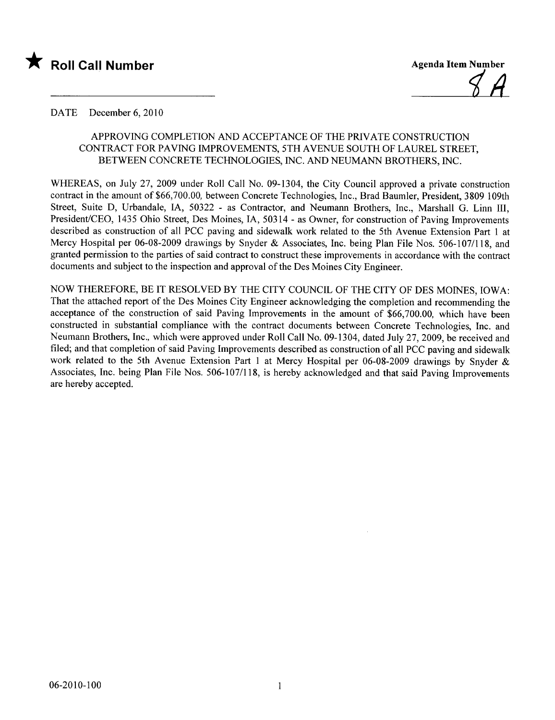

### DATE December 6, 2010

# APPROVING COMPLETION AND ACCEPTANCE OF THE PRIVATE CONSTRUCTION CONTRACT FOR PAVING IMPROVEMENTS, 5TH AVENUE SOUTH OF LAUREL STREET, BETWEEN CONCRETE TECHNOLOGIES, INC. AND NEUMANN BROTHERS, INC.

WHEREAS, on July 27, 2009 under Roll Call No. 09-1304, the City Council approved a private construction contract in the amount of \$66,700.00, between Concrete Technologies, Inc., Brad Baumler, President, 3809 109th Street, Suite D, Urbandale, lA, 50322 - as Contractor, and Neumann Brothers, Inc., Marshall G. Linn II, President/CEO, 1435 Ohio Street, Des Moines, lA, 50314 - as Owner, for construction of Paving Improvements described as construction of all PCC paving and sidewalk work related to the 5th Avenue Extension Part 1 at Mercy Hospital per 06-08-2009 drawings by Snyder & Associates, Inc. being Plan File Nos. 506-107/118, and granted permission to the parties of said contract to construct these improvements in accordance with the contract documents and subject to the inspection and approval of the Des Moines City Engineer.

NOW THEREFORE, BE IT RESOLVED BY THE CITY COUNCIL OF THE CITY OF DES MOINES, IOWA: That the attached report of the Des Moines City Engineer acknowledging the completion and recommending the acceptance of the construction of said Paving Improvements in the amount of \$66,700.00, which have been constructed in substantial compliance with the contract documents between Concrete Technologies, Inc. and Neumann Brothers, Inc., which were approved under Roll Call No. 09-1304, dated July 27,2009, be received and fied; and that completion of said Paving Improvements described as construction of all PCC paving and sidewalk work related to the 5th Avenue Extension Part 1 at Mercy Hospital per 06-08-2009 drawings by Snyder & Associates, Inc. being Plan File Nos. 506-107/118, is hereby acknowledged and that said Paving Improvements are hereby accepted.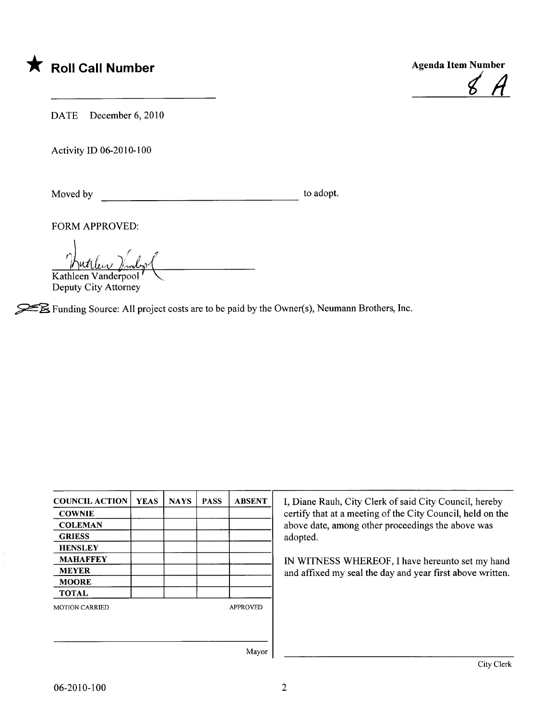



DATE December 6, 2010

Activity ID 06-2010-100

Moved by to adopt.

FORM APPROVED:

Kathleen Vanderpool

Deputy City Attorney

 $\mathcal{L}$  Funding Source: All project costs are to be paid by the Owner(s), Neumann Brothers, Inc.

| <b>COUNCIL ACTION</b> | <b>YEAS</b> | <b>NAYS</b> | <b>PASS</b>     | <b>ABSENT</b> |
|-----------------------|-------------|-------------|-----------------|---------------|
| <b>COWNIE</b>         |             |             |                 |               |
| <b>COLEMAN</b>        |             |             |                 |               |
| <b>GRIESS</b>         |             |             |                 |               |
| <b>HENSLEY</b>        |             |             |                 |               |
| <b>MAHAFFEY</b>       |             |             |                 |               |
| <b>MEYER</b>          |             |             |                 |               |
| <b>MOORE</b>          |             |             |                 |               |
| <b>TOTAL</b>          |             |             |                 |               |
| <b>MOTION CARRIED</b> |             |             | <b>APPROVED</b> |               |
|                       |             |             |                 |               |
|                       |             |             |                 | Mayor         |

I, Diane Rauh, City Clerk of said City Council, hereby certify that at a meeting of the City Council, held on the above date, among other proceedings the above was adopted.

IN WITNESS WHEREOF, I have hereunto set my hand and affixed my seal the day and year first above written.

Mayor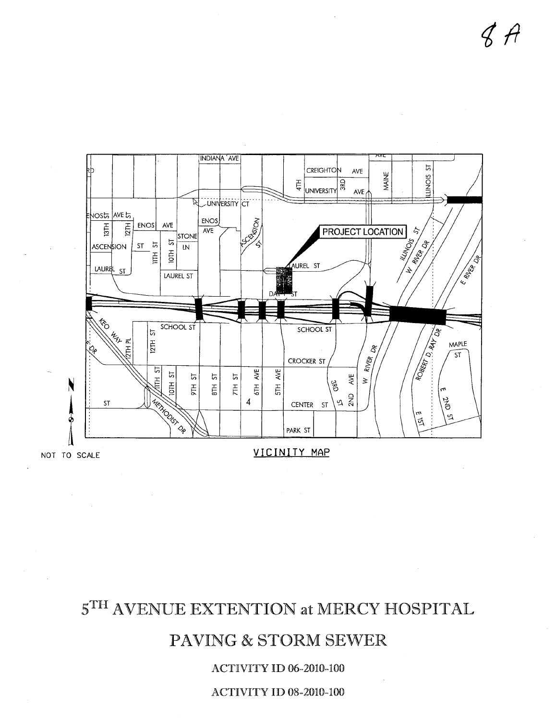# **ACTIVITY ID 08-2010-100**

# **ACTIVITY ID 06-2010-100**

# PAVING & STORM SEWER





## VICINITY MAP

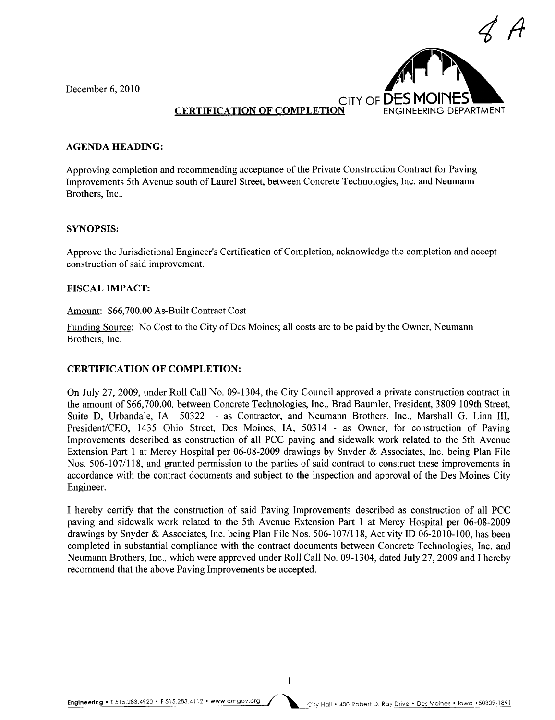December 6, 2010



# **CERTIFICATION OF COMPLETION**

### AGENDA HEADING:

Approving completion and recommending acceptance of the Private Construction Contract for Paving Improvements 5th Avenue south of Laurel Street, between Concrete Technologies, Inc. and Neumann Brothers, Inc..

### SYNOPSIS:

Approve the Jurisdictional Engineer's Certification of Completion, acknowledge the completion and accept construction of said improvement.

### FISCAL IMPACT:

### Amount: \$66,700.00 As-Built Contract Cost

Funding Source: No Cost to the City of Des Moines; all costs are to be paid by the Owner, Neumann Brothers, Inc.

### CERTIFICATION OF COMPLETION:

On July 27,2009, under Roll Call No. 09-1304, the City Council approved a private construction contract in the amount of \$66,700.00, between Concrete Technologies, Inc., Brad Baumler, President, 3809 109th Street, Suite D, Urbandale, IA 50322 - as Contractor, and Neumann Brothers, Inc., Marshall G. Linn III, President/CEO, 1435 Ohio Street, Des Moines, lA, 50314 - as Owner, for construction of Paving Improvements described as construction of all PCC paving and sidewalk work related to the 5th Avenue Extension Part 1 at Mercy Hospital per 06-08-2009 drawings by Snyder & Associates, Inc. being Plan File Nos. 506-107/118, and granted permission to the parties of said contract to construct these improvements in accordance with the contract documents and subject to the inspection and approval of the Des Moines City Engineer.

I hereby certify that the construction of said Paving Improvements described as construction of all PCC paving and sidewalk work related to the 5th Avenue Extension Part 1 at Mercy Hospital per 06-08-2009 drawings by Snyder & Associates, Inc. being Plan File Nos. 506-107/118, Activity ID 06-2010-100, has been completed in substantial compliance with the contract documents between Concrete Technologies, Inc. and Neumann Brothers, Inc., which were approved under Roll Call No. 09-1304, dated July 27,2009 and I hereby recommend that the above Paving Improvements be accepted.

Engineering. T 515.283.4920 . F 515.283.4112 . www.dmgov.org City Hall. 400 Robert D. Ray Drive. Des Moines. Iowa .50309-1891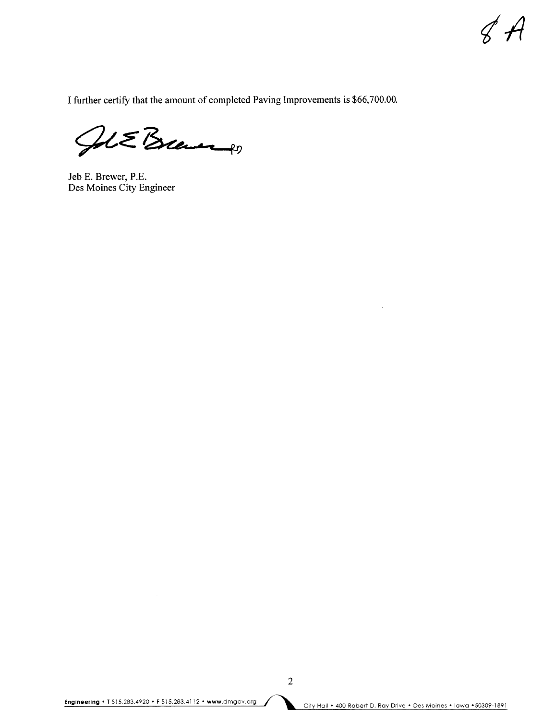$\mathscr{C}$  $\mathscr{A}$ 

I further certify that the amount of completed Paving Improvements is \$66,700.00.

GUE Brever

Jeb E. Brewer, P.E. Des Moines City Engineer